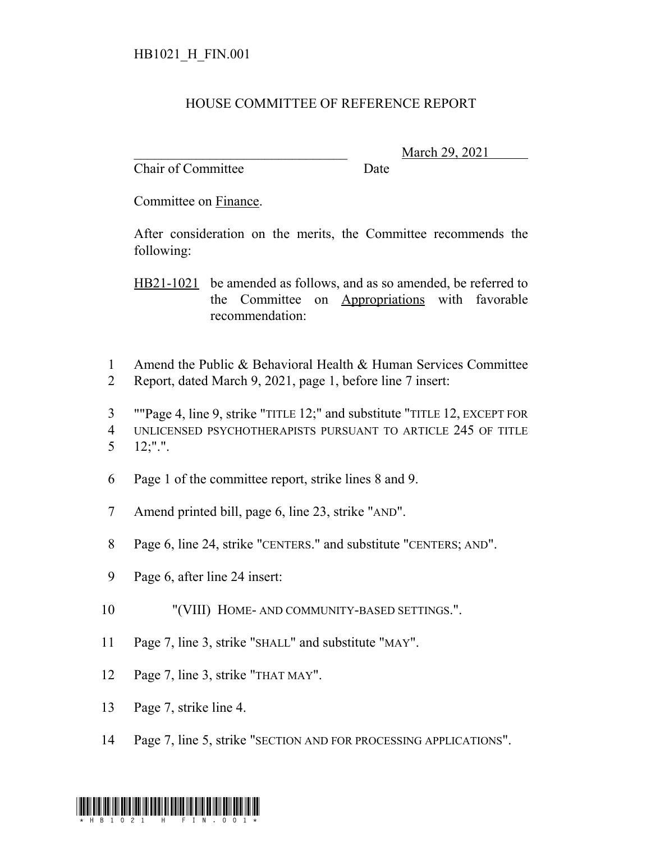## HOUSE COMMITTEE OF REFERENCE REPORT

Chair of Committee Date

\_\_\_\_\_\_\_\_\_\_\_\_\_\_\_\_\_\_\_\_\_\_\_\_\_\_\_\_\_\_\_ March 29, 2021

Committee on Finance.

After consideration on the merits, the Committee recommends the following:

HB21-1021 be amended as follows, and as so amended, be referred to the Committee on Appropriations with favorable recommendation:

- 1 Amend the Public & Behavioral Health & Human Services Committee
- 2 Report, dated March 9, 2021, page 1, before line 7 insert:

3 ""Page 4, line 9, strike "TITLE 12;" and substitute "TITLE 12, EXCEPT FOR 4 UNLICENSED PSYCHOTHERAPISTS PURSUANT TO ARTICLE 245 OF TITLE 5 12;".".

- 6 Page 1 of the committee report, strike lines 8 and 9.
- 7 Amend printed bill, page 6, line 23, strike "AND".
- 8 Page 6, line 24, strike "CENTERS." and substitute "CENTERS; AND".
- 9 Page 6, after line 24 insert:
- 10 "(VIII) HOME- AND COMMUNITY-BASED SETTINGS.".
- 11 Page 7, line 3, strike "SHALL" and substitute "MAY".
- 12 Page 7, line 3, strike "THAT MAY".
- 13 Page 7, strike line 4.
- 14 Page 7, line 5, strike "SECTION AND FOR PROCESSING APPLICATIONS".